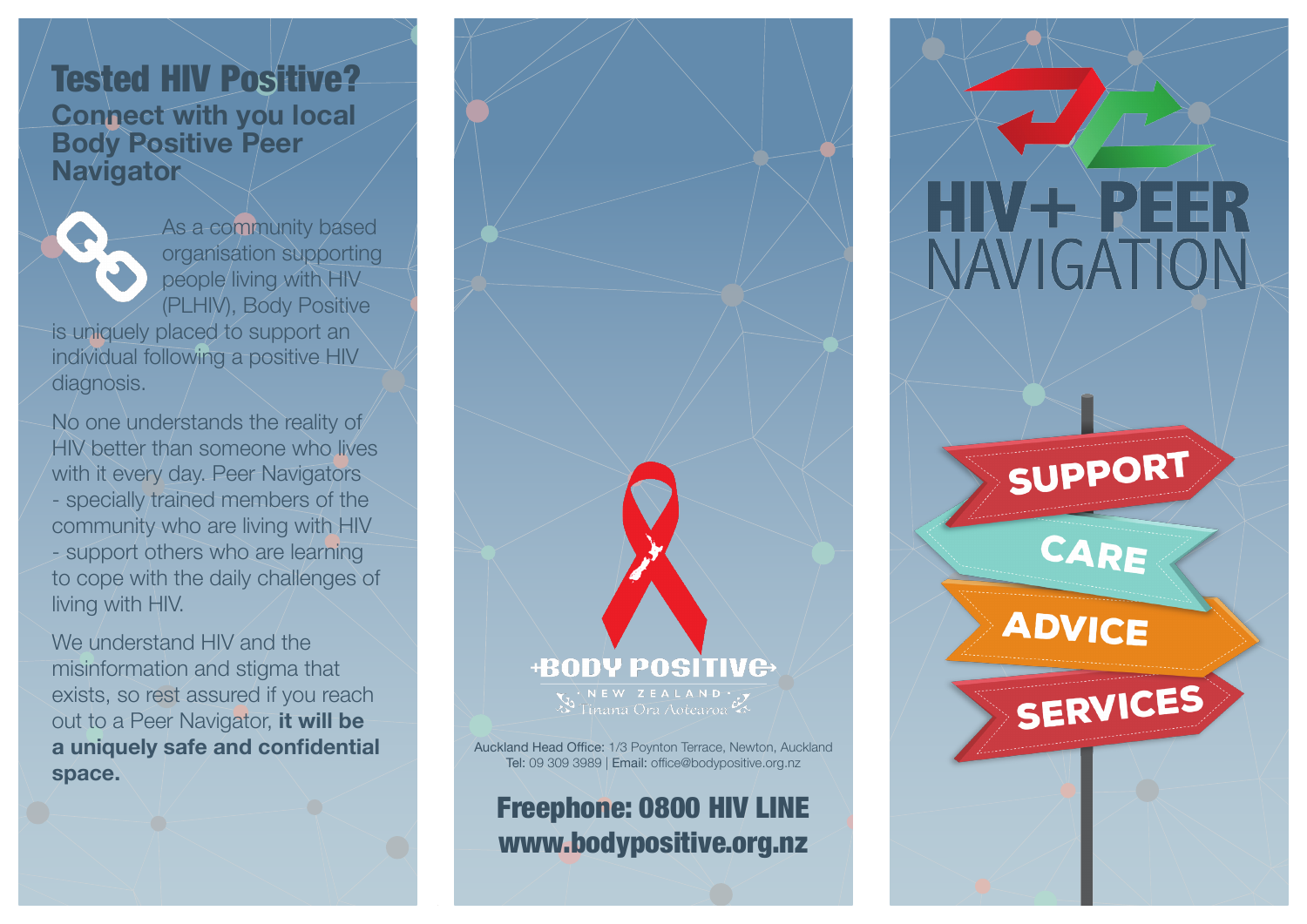#### Tested HIV Positive? **Connect with you local Body Positive Peer Navigator**

As a community based organisation supporting people living with HIV (PLHIV), Body Positive

is uniquely placed to support an individual following a positive HIV diagnosis.

No one understands the reality of HIV better than someone who lives with it every day. Peer Navigators - specially trained members of the community who are living with HIV - support others who are learning to cope with the daily challenges of living with HIV.

We understand HIV and the misinformation and stigma that exists, so rest assured if you reach out to a Peer Navigator, **it will be a uniquely safe and confidential space.**



Freephone: 0800 HIV LINE www.bodypositive.org.nz



# SUPPORT



## **ADVICE**

SERVICES